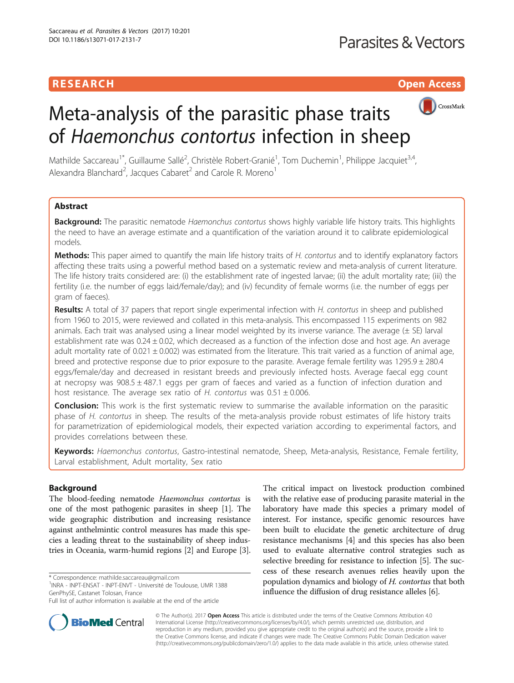## **RESEARCH CHILD CONTROL** CONTROL CONTROL CONTROL CONTROL CONTROL CONTROL CONTROL CONTROL CONTROL CONTROL CONTROL



# Meta-analysis of the parasitic phase traits of Haemonchus contortus infection in sheep

Mathilde Saccareau<sup>1\*</sup>, Guillaume Sallé<sup>2</sup>, Christèle Robert-Granié<sup>1</sup>, Tom Duchemin<sup>1</sup>, Philippe Jacquiet<sup>3,4</sup>, Alexandra Blanchard<sup>2</sup>, Jacques Cabaret<sup>2</sup> and Carole R. Moreno<sup>1</sup>

## Abstract

Background: The parasitic nematode Haemonchus contortus shows highly variable life history traits. This highlights the need to have an average estimate and a quantification of the variation around it to calibrate epidemiological models.

Methods: This paper aimed to quantify the main life history traits of H. contortus and to identify explanatory factors affecting these traits using a powerful method based on a systematic review and meta-analysis of current literature. The life history traits considered are: (i) the establishment rate of ingested larvae; (ii) the adult mortality rate; (iii) the fertility (i.e. the number of eggs laid/female/day); and (iv) fecundity of female worms (i.e. the number of eggs per gram of faeces).

Results: A total of 37 papers that report single experimental infection with H. contortus in sheep and published from 1960 to 2015, were reviewed and collated in this meta-analysis. This encompassed 115 experiments on 982 animals. Each trait was analysed using a linear model weighted by its inverse variance. The average (± SE) larval establishment rate was  $0.24 \pm 0.02$ , which decreased as a function of the infection dose and host age. An average adult mortality rate of  $0.021 \pm 0.002$ ) was estimated from the literature. This trait varied as a function of animal age, breed and protective response due to prior exposure to the parasite. Average female fertility was  $1295.9 \pm 280.4$ eggs/female/day and decreased in resistant breeds and previously infected hosts. Average faecal egg count at necropsy was  $908.5 \pm 487.1$  eggs per gram of faeces and varied as a function of infection duration and host resistance. The average sex ratio of H. contortus was  $0.51 \pm 0.006$ .

**Conclusion:** This work is the first systematic review to summarise the available information on the parasitic phase of H. contortus in sheep. The results of the meta-analysis provide robust estimates of life history traits for parametrization of epidemiological models, their expected variation according to experimental factors, and provides correlations between these.

Keywords: Haemonchus contortus, Gastro-intestinal nematode, Sheep, Meta-analysis, Resistance, Female fertility, Larval establishment, Adult mortality, Sex ratio

## Background

The blood-feeding nematode Haemonchus contortus is one of the most pathogenic parasites in sheep [\[1\]](#page-11-0). The wide geographic distribution and increasing resistance against anthelmintic control measures has made this species a leading threat to the sustainability of sheep industries in Oceania, warm-humid regions [[2](#page-11-0)] and Europe [[3](#page-11-0)].

<sup>1</sup>INRA - INPT-ENSAT - INPT-ENVT - Université de Toulouse, UMR 1388 GenPhySE, Castanet Tolosan, France

The critical impact on livestock production combined with the relative ease of producing parasite material in the laboratory have made this species a primary model of interest. For instance, specific genomic resources have been built to elucidate the genetic architecture of drug resistance mechanisms [[4\]](#page-11-0) and this species has also been used to evaluate alternative control strategies such as selective breeding for resistance to infection [\[5](#page-11-0)]. The success of these research avenues relies heavily upon the population dynamics and biology of H. contortus that both influence the diffusion of drug resistance alleles [[6\]](#page-11-0).



© The Author(s). 2017 **Open Access** This article is distributed under the terms of the Creative Commons Attribution 4.0 International License [\(http://creativecommons.org/licenses/by/4.0/](http://creativecommons.org/licenses/by/4.0/)), which permits unrestricted use, distribution, and reproduction in any medium, provided you give appropriate credit to the original author(s) and the source, provide a link to the Creative Commons license, and indicate if changes were made. The Creative Commons Public Domain Dedication waiver [\(http://creativecommons.org/publicdomain/zero/1.0/](http://creativecommons.org/publicdomain/zero/1.0/)) applies to the data made available in this article, unless otherwise stated.

<sup>\*</sup> Correspondence: [mathilde.saccareau@gmail.com](mailto:mathilde.saccareau@gmail.com) <sup>1</sup>

Full list of author information is available at the end of the article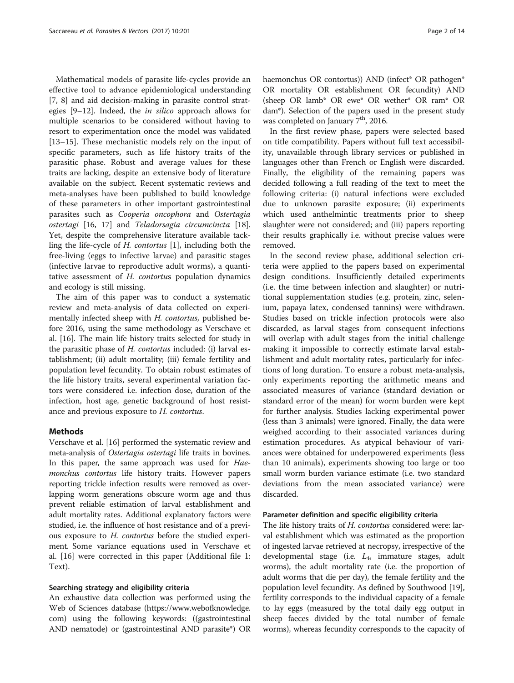Mathematical models of parasite life-cycles provide an effective tool to advance epidemiological understanding [[7, 8\]](#page-11-0) and aid decision-making in parasite control strategies  $[9-12]$  $[9-12]$  $[9-12]$  $[9-12]$  $[9-12]$ . Indeed, the *in silico* approach allows for multiple scenarios to be considered without having to resort to experimentation once the model was validated [[13](#page-11-0)–[15](#page-11-0)]. These mechanistic models rely on the input of specific parameters, such as life history traits of the parasitic phase. Robust and average values for these traits are lacking, despite an extensive body of literature available on the subject. Recent systematic reviews and meta-analyses have been published to build knowledge of these parameters in other important gastrointestinal parasites such as Cooperia oncophora and Ostertagia ostertagi [[16, 17](#page-11-0)] and Teladorsagia circumcincta [\[18](#page-11-0)]. Yet, despite the comprehensive literature available tackling the life-cycle of H. contortus [[1\]](#page-11-0), including both the free-living (eggs to infective larvae) and parasitic stages (infective larvae to reproductive adult worms), a quantitative assessment of H. contortus population dynamics and ecology is still missing.

The aim of this paper was to conduct a systematic review and meta-analysis of data collected on experimentally infected sheep with *H. contortus*, published before 2016, using the same methodology as Verschave et al. [\[16](#page-11-0)]. The main life history traits selected for study in the parasitic phase of H. contortus included: (i) larval establishment; (ii) adult mortality; (iii) female fertility and population level fecundity. To obtain robust estimates of the life history traits, several experimental variation factors were considered i.e. infection dose, duration of the infection, host age, genetic background of host resistance and previous exposure to H. contortus.

#### Methods

Verschave et al. [[16](#page-11-0)] performed the systematic review and meta-analysis of Ostertagia ostertagi life traits in bovines. In this paper, the same approach was used for *Hae*monchus contortus life history traits. However papers reporting trickle infection results were removed as overlapping worm generations obscure worm age and thus prevent reliable estimation of larval establishment and adult mortality rates. Additional explanatory factors were studied, i.e. the influence of host resistance and of a previous exposure to H. contortus before the studied experiment. Some variance equations used in Verschave et al. [\[16](#page-11-0)] were corrected in this paper (Additional file [1](#page-10-0): Text).

## Searching strategy and eligibility criteria

An exhaustive data collection was performed using the Web of Sciences database [\(https://www.webofknowledge.](https://www.webofknowledge.com) [com](https://www.webofknowledge.com)) using the following keywords: ((gastrointestinal AND nematode) or (gastrointestinal AND parasite\*) OR haemonchus OR contortus)) AND (infect\* OR pathogen\* OR mortality OR establishment OR fecundity) AND (sheep OR lamb\* OR ewe\* OR wether\* OR ram\* OR dam\*). Selection of the papers used in the present study was completed on January 7<sup>th</sup>, 2016.

In the first review phase, papers were selected based on title compatibility. Papers without full text accessibility, unavailable through library services or published in languages other than French or English were discarded. Finally, the eligibility of the remaining papers was decided following a full reading of the text to meet the following criteria: (i) natural infections were excluded due to unknown parasite exposure; (ii) experiments which used anthelmintic treatments prior to sheep slaughter were not considered; and (iii) papers reporting their results graphically i.e. without precise values were removed.

In the second review phase, additional selection criteria were applied to the papers based on experimental design conditions. Insufficiently detailed experiments (i.e. the time between infection and slaughter) or nutritional supplementation studies (e.g. protein, zinc, selenium, papaya latex, condensed tannins) were withdrawn. Studies based on trickle infection protocols were also discarded, as larval stages from consequent infections will overlap with adult stages from the initial challenge making it impossible to correctly estimate larval establishment and adult mortality rates, particularly for infections of long duration. To ensure a robust meta-analysis, only experiments reporting the arithmetic means and associated measures of variance (standard deviation or standard error of the mean) for worm burden were kept for further analysis. Studies lacking experimental power (less than 3 animals) were ignored. Finally, the data were weighed according to their associated variances during estimation procedures. As atypical behaviour of variances were obtained for underpowered experiments (less than 10 animals), experiments showing too large or too small worm burden variance estimate (i.e. two standard deviations from the mean associated variance) were discarded.

### Parameter definition and specific eligibility criteria

The life history traits of *H. contortus* considered were: larval establishment which was estimated as the proportion of ingested larvae retrieved at necropsy, irrespective of the developmental stage (i.e.  $L_4$ , immature stages, adult worms), the adult mortality rate (i.e. the proportion of adult worms that die per day), the female fertility and the population level fecundity. As defined by Southwood [[19](#page-11-0)], fertility corresponds to the individual capacity of a female to lay eggs (measured by the total daily egg output in sheep faeces divided by the total number of female worms), whereas fecundity corresponds to the capacity of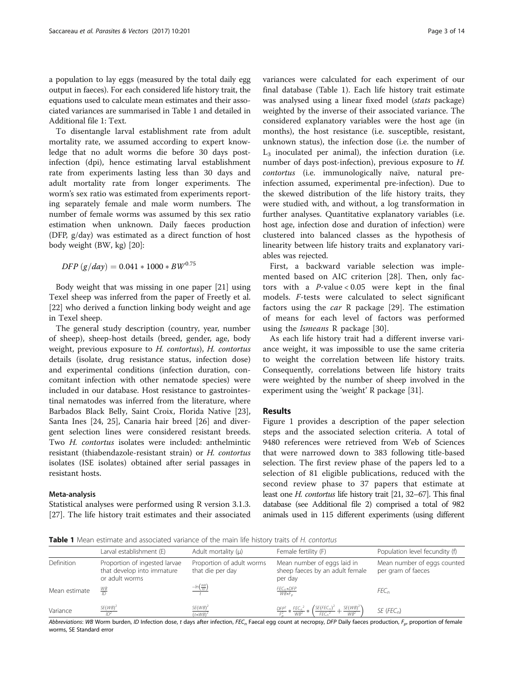a population to lay eggs (measured by the total daily egg output in faeces). For each considered life history trait, the equations used to calculate mean estimates and their associated variances are summarised in Table 1 and detailed in Additional file [1](#page-10-0): Text.

To disentangle larval establishment rate from adult mortality rate, we assumed according to expert knowledge that no adult worms die before 30 days postinfection (dpi), hence estimating larval establishment rate from experiments lasting less than 30 days and adult mortality rate from longer experiments. The worm's sex ratio was estimated from experiments reporting separately female and male worm numbers. The number of female worms was assumed by this sex ratio estimation when unknown. Daily faeces production (DFP, g/day) was estimated as a direct function of host body weight (BW, kg) [\[20](#page-11-0)]:

 $DFP(g/day) = 0.041 * 1000 * BW^{0.75}$ 

Body weight that was missing in one paper [\[21\]](#page-11-0) using Texel sheep was inferred from the paper of Freetly et al. [[22\]](#page-11-0) who derived a function linking body weight and age in Texel sheep.

The general study description (country, year, number of sheep), sheep-host details (breed, gender, age, body weight, previous exposure to H. contortus), H. contortus details (isolate, drug resistance status, infection dose) and experimental conditions (infection duration, concomitant infection with other nematode species) were included in our database. Host resistance to gastrointestinal nematodes was inferred from the literature, where Barbados Black Belly, Saint Croix, Florida Native [\[23](#page-11-0)], Santa Ines [[24, 25\]](#page-11-0), Canaria hair breed [\[26\]](#page-11-0) and divergent selection lines were considered resistant breeds. Two H. contortus isolates were included: anthelmintic resistant (thiabendazole-resistant strain) or H. contortus isolates (ISE isolates) obtained after serial passages in resistant hosts.

## Meta-analysis

Statistical analyses were performed using R version 3.1.3. [[27\]](#page-11-0). The life history trait estimates and their associated variances were calculated for each experiment of our final database (Table 1). Each life history trait estimate was analysed using a linear fixed model (stats package) weighted by the inverse of their associated variance. The considered explanatory variables were the host age (in months), the host resistance (i.e. susceptible, resistant, unknown status), the infection dose (i.e. the number of  $L<sub>3</sub>$  inoculated per animal), the infection duration (i.e. number of days post-infection), previous exposure to H. contortus (i.e. immunologically naïve, natural preinfection assumed, experimental pre-infection). Due to the skewed distribution of the life history traits, they were studied with, and without, a log transformation in further analyses. Quantitative explanatory variables (i.e. host age, infection dose and duration of infection) were clustered into balanced classes as the hypothesis of linearity between life history traits and explanatory variables was rejected.

First, a backward variable selection was implemented based on AIC criterion [[28\]](#page-11-0). Then, only factors with a  $P$ -value < 0.05 were kept in the final models. F-tests were calculated to select significant factors using the car R package [\[29](#page-11-0)]. The estimation of means for each level of factors was performed using the lsmeans R package [\[30](#page-11-0)].

As each life history trait had a different inverse variance weight, it was impossible to use the same criteria to weight the correlation between life history traits. Consequently, correlations between life history traits were weighted by the number of sheep involved in the experiment using the 'weight' R package [[31\]](#page-11-0).

## Results

Figure [1](#page-3-0) provides a description of the paper selection steps and the associated selection criteria. A total of 9480 references were retrieved from Web of Sciences that were narrowed down to 383 following title-based selection. The first review phase of the papers led to a selection of 81 eligible publications, reduced with the second review phase to 37 papers that estimate at least one H. contortus life history trait [\[21](#page-11-0), [32](#page-12-0)–[67](#page-12-0)]. This final database (see Additional file [2](#page-10-0)) comprised a total of 982 animals used in 115 different experiments (using different

**Table 1** Mean estimate and associated variance of the main life history traits of H. contortus

|                   | Larval establishment (E)                                                      | Adult mortality $(\mu)$                       | Female fertility (F)                                                                                                          | Population level fecundity (f)                    |
|-------------------|-------------------------------------------------------------------------------|-----------------------------------------------|-------------------------------------------------------------------------------------------------------------------------------|---------------------------------------------------|
| <b>Definition</b> | Proportion of ingested larvae<br>that develop into immature<br>or adult worms | Proportion of adult worms<br>that die per day | Mean number of eggs laid in<br>sheep faeces by an adult female<br>per day                                                     | Mean number of eggs counted<br>per gram of faeces |
| Mean estimate     | $\frac{WB}{D}$                                                                | $-ln(\frac{WB}{ID})$                          | $\frac{FEC_n * DFP}{WB * F_n}$                                                                                                | $FEC_n$                                           |
| Variance          | $\frac{SE(WB)^2}{10^2}$                                                       | $SE(WB)^2$<br>$(t*WB)^2$                      | $\int$ SE(FEC <sub>n</sub> ) <sup>2</sup><br>$\frac{SE(WB)^2}{WB^2}$<br>$\frac{DFP^2}{F^2}$ * $\frac{FECn^2}{WR^2}$ *<br>FFC. | $SE$ (FEC <sub>n</sub> )                          |

Abbreviations: WB Worm burden, ID Infection dose, t days after infection, FEC<sub>n</sub> Faecal egg count at necropsy, DFP Daily faeces production, F<sub>p</sub>, proportion of female worms, SE Standard error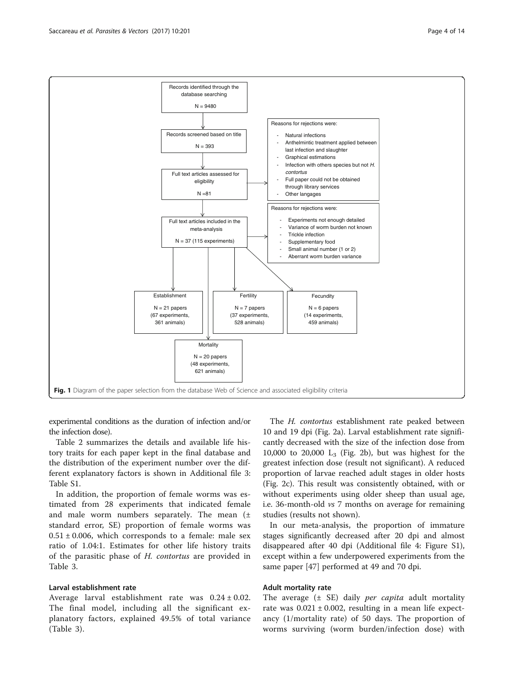<span id="page-3-0"></span>

experimental conditions as the duration of infection and/or the infection dose).

Table [2](#page-4-0) summarizes the details and available life history traits for each paper kept in the final database and the distribution of the experiment number over the different explanatory factors is shown in Additional file [3](#page-10-0): Table S1.

In addition, the proportion of female worms was estimated from 28 experiments that indicated female and male worm numbers separately. The mean (± standard error, SE) proportion of female worms was  $0.51 \pm 0.006$ , which corresponds to a female: male sex ratio of 1.04:1. Estimates for other life history traits of the parasitic phase of H. contortus are provided in Table [3](#page-6-0).

## Larval establishment rate

Average larval establishment rate was  $0.24 \pm 0.02$ . The final model, including all the significant explanatory factors, explained 49.5% of total variance (Table [3](#page-6-0)).

The *H. contortus* establishment rate peaked between 10 and 19 dpi (Fig. [2a](#page-7-0)). Larval establishment rate significantly decreased with the size of the infection dose from 10,000 to 20,000  $L_3$  (Fig. [2b\)](#page-7-0), but was highest for the greatest infection dose (result not significant). A reduced proportion of larvae reached adult stages in older hosts (Fig. [2c\)](#page-7-0). This result was consistently obtained, with or without experiments using older sheep than usual age, i.e. 36-month-old vs 7 months on average for remaining studies (results not shown).

In our meta-analysis, the proportion of immature stages significantly decreased after 20 dpi and almost disappeared after 40 dpi (Additional file [4](#page-10-0): Figure S1), except within a few underpowered experiments from the same paper [\[47](#page-12-0)] performed at 49 and 70 dpi.

## Adult mortality rate

The average  $(± SE)$  daily *per capita* adult mortality rate was  $0.021 \pm 0.002$ , resulting in a mean life expectancy (1/mortality rate) of 50 days. The proportion of worms surviving (worm burden/infection dose) with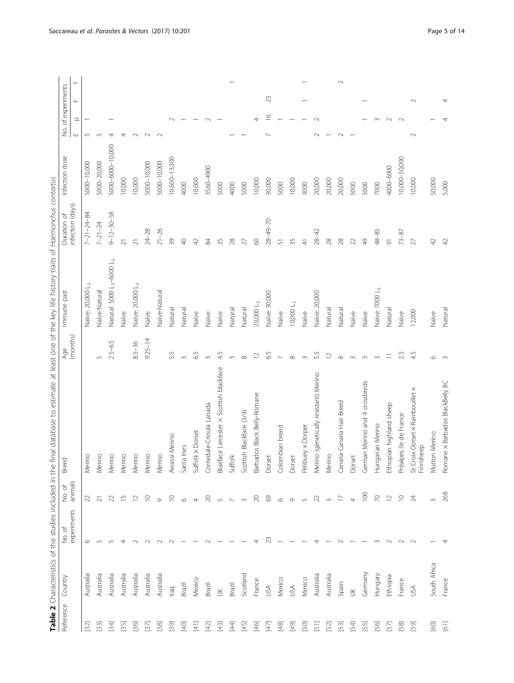|   | ۱<br>j                                                                            |
|---|-----------------------------------------------------------------------------------|
|   | j<br>ì                                                                            |
|   | Í<br>١                                                                            |
|   | ֧֧֧֧֧֧֧ׅ֧֧֧ׅ֧֧ׅ֧֧֪֪֪֪֪֪֪֪֪֪֪֧֚֚֚֚֚֚֚֚֚֚֚֚֚֚֚֚֚֚֚֚֚֚֚֚֡֝֓֝֓֝֓֝֓֝֓֝֓֜֓֝֬֝֓֜֓֝֬֜֓֝֬֝ |
|   | i<br>١                                                                            |
|   | ţ<br>j                                                                            |
|   | ׇ֬֓<br>j                                                                          |
|   | á                                                                                 |
|   | !                                                                                 |
|   | I<br>Ó<br>١                                                                       |
|   | i                                                                                 |
|   | ì<br>ī                                                                            |
|   | j<br>$\frac{1}{2}$                                                                |
| í | ì                                                                                 |
|   |                                                                                   |
|   | $\frac{1}{\zeta}$<br>)                                                            |
|   | ì                                                                                 |
|   | $\frac{1}{2}$<br>j<br>í                                                           |
|   | į                                                                                 |
|   |                                                                                   |
|   | Ş                                                                                 |
|   | I<br>J<br>÷<br>5                                                                  |
|   | $\frac{1}{2}$                                                                     |
|   | j                                                                                 |
|   | .<br>V<br>Ò                                                                       |
|   | t                                                                                 |
|   |                                                                                   |
|   | k€)                                                                               |
|   |                                                                                   |
|   | )<br>d<br>1                                                                       |
|   | $\overline{\phantom{a}}$                                                          |
|   |                                                                                   |
|   | $\frac{1}{\zeta}$<br>;                                                            |
|   | j                                                                                 |
|   | I<br>$\frac{1}{2}$<br>ļ                                                           |
|   | $\ddot{\phantom{0}}$<br>5                                                         |
|   |                                                                                   |
|   | 3                                                                                 |
|   | Ũ<br>¢                                                                            |
|   |                                                                                   |
|   | 'n<br>₹                                                                           |
|   | .<br>V                                                                            |
|   | ╒                                                                                 |
|   | ī<br>S                                                                            |
|   | i                                                                                 |
|   | こり                                                                                |
|   | ACT II.                                                                           |
|   |                                                                                   |
|   | $\frac{1}{2}$<br>ׇ֧֢֛֚֜                                                           |
|   | I<br>1<br>J                                                                       |
|   | j<br>ć<br>ï<br>č                                                                  |
|   | $\overline{\phantom{a}}$<br>$\overline{ }$                                        |
|   | ¢<br>1<br>j                                                                       |
| Ï | ħ<br>ś                                                                            |
| ٦ | Ï                                                                                 |
|   | $\mathbf{\dot{z}}$<br>Ï                                                           |
|   | $\epsilon$<br>Š                                                                   |
| l |                                                                                   |
|   | ı<br>¢<br>j                                                                       |
|   | $\overline{\phantom{a}}$                                                          |
| í |                                                                                   |
|   | $\ddot{\phantom{0}}$                                                              |
|   | ٦<br>ׇ֚֬֓֡֡֡֡                                                                     |
|   | Ċ<br>j<br>l                                                                       |
|   | j<br>į                                                                            |
|   | j                                                                                 |
|   | ţ                                                                                 |
|   |                                                                                   |
|   | )<br>J<br>ă                                                                       |
|   |                                                                                   |
|   | ₹<br>j                                                                            |
| I | i<br>J                                                                            |
|   | Ę<br>j                                                                            |
|   | ¢<br>1.<br>J                                                                      |
|   | $\overline{\phantom{a}}$                                                          |
|   | $\vdash$                                                                          |
|   | $\overline{\circ}$                                                                |
|   | i<br>ŋ                                                                            |
|   |                                                                                   |
|   | j                                                                                 |
|   |                                                                                   |
|   | 1                                                                                 |
|   |                                                                                   |
|   |                                                                                   |
|   | ١<br>j                                                                            |
|   |                                                                                   |
|   |                                                                                   |
| ١ | J                                                                                 |
| ¢ | I                                                                                 |
|   |                                                                                   |
|   |                                                                                   |
| ı | $\frac{a}{2}$<br>I<br>Í                                                           |

<span id="page-4-0"></span>

| Reference                          | Country      | No. of      | No. of<br>animals | Breed                                        | Age<br>(months) | Immune past                                       | Duration of        | Infection dose   |        |                | No. of experiments |
|------------------------------------|--------------|-------------|-------------------|----------------------------------------------|-----------------|---------------------------------------------------|--------------------|------------------|--------|----------------|--------------------|
|                                    |              | experiments |                   |                                              |                 |                                                   | infection (days)   |                  | Щ      | 그              | $\sqcup\!\sqcup$   |
| $\Xi$                              | Australia    | 9           | 22                | ă<br>Merir                                   |                 | Naïve: 20,000 L <sub>3</sub>                      | $7 - 21 - 24 - 84$ | 5000-10,000      | 5      |                |                    |
| $[33]$                             | Australia    | $\cup$      | $\overline{\sim}$ | <b>DO</b><br>Merir                           | $\sqrt{2}$      | Naïve-Natural                                     | $7 - 21 - 24$      | 5000-20,000      | LO     |                |                    |
| 34                                 | Australia    | $\sqrt{ }$  | 22                | Merino                                       | $2.5 - 6.5$     | Natural: 5000 L <sub>3</sub> -6000 L <sub>3</sub> | $9 - 12 - 30 - 58$ | 5000-6000-10,000 | 4      |                |                    |
| $\begin{bmatrix} 35 \end{bmatrix}$ | Australia    | 4           | $\frac{5}{1}$     | Merino                                       |                 | Naïve                                             | $\overline{21}$    | 10,000           | 4      |                |                    |
| $[36]$                             | Australia    |             | $\approx$         | Merino                                       | $8.5 - 36$      | Naïve: 20,000 L <sub>3</sub>                      | $\overline{21}$    | 10,000           |        |                |                    |
| $\Xi$                              | Australia    |             | $\supseteq$       | Merino                                       | $9.25 - 14$     | Naïve                                             | $24 - 28$          | 5000-10,000      | $\sim$ |                |                    |
| $[38]$                             | Australia    |             | $\circ$           | Merino                                       |                 | Naïve-Natural                                     | $21 - 26$          | 5000-10,000      | $\sim$ |                |                    |
| $[39]$                             | lraq         |             | $\supseteq$       | Awassi-Merino                                | 5.5             | Natural                                           | 39                 | 10,600-13,300    |        |                |                    |
| $\overline{5}$                     | Brazil       |             | $\circ$           | Santa Ines                                   | $\infty$        | Natural                                           | $\Theta$           | 4000             |        |                |                    |
| 들                                  | Mexico       |             | $\overline{4}$    | Suffolk x Dorset                             | 65              | Naïve                                             | $\overline{4}$     | 10,000           |        |                |                    |
| $[42]$                             | Brazil       |             | $\geqslant$       | Corriedale-Crioula Lanada                    | $\infty$        | Naïve                                             | $\mathcal{L}$      | 3560-4900        |        |                |                    |
| $\Xi$                              | $\leq$       |             | $\cup$            | Blueface Leicester x Scottish blackface      | 4.5             | Naïve                                             | 35                 | 5000             |        |                |                    |
| <u>न्</u> य                        | Brazil       |             | $\sim$            | Suffolk                                      |                 | Natural                                           | 28                 | 4000             |        |                |                    |
| 5                                  | Scotland     |             | $\sim$            | Scottish Blackface (3/4)                     | $\infty$        | Natural                                           | 27                 | 5000             |        |                |                    |
| $\frac{1}{2}$                      | France       | 4           | $\overline{20}$   | Barbados Black Belly-Romane                  | $\supseteq$     | 20,000 L <sub>3</sub>                             | $\odot$            | 10,000           |        | 4              |                    |
| 互                                  | USA          | 23          | 69                | Dorset                                       | 65              | Naïve: 30,000                                     | $28 - 49 - 70$     | 30,000           |        | $\overline{6}$ | 23                 |
| $\boxed{48}$                       | Mexico       |             | $\circ$           | Colombian breed                              |                 | Naïve                                             | $\overline{5}$     | 5000             |        |                |                    |
| [49]                               | USA          |             | $\circ$           | Dorset                                       | $\infty$        | $10,000$ $L_3$                                    | 35                 | 10,000           |        |                |                    |
| 50]                                | Mexico       |             | $\cup$            | Pelibuey x Dorper                            | $\infty$        | Naïve                                             | $\frac{4}{3}$      | 3000             |        |                |                    |
| $\Xi$                              | Australia    |             | 22                | Merino (genetically resistant) Merino        | 5.5             | Naïve: 20,000                                     | $28 - 42$          | 20,000           |        |                |                    |
| [52]                               | Australia    |             | $\infty$          | Merino                                       | $\supseteq$     | Natural                                           | 28                 | 20,000           |        |                |                    |
| $\begin{bmatrix} 53 \end{bmatrix}$ | Spain        |             | $\Box$            | Canaria-Canaria Hair Breed                   | $\infty$        | Natural                                           | $28$               | 20,000           |        |                | $\sim$             |
| 54]                                | $\leq$       |             |                   | Dorset                                       | $\infty$        | Naïve                                             | $\overline{2}$     | 5000             |        |                |                    |
| 55                                 | Germany      |             | $\overline{5}$    | German Merino and 4 crossbreds               | $\sim$          | Naïve                                             | $\frac{1}{6}$      | 5000             |        |                |                    |
| 56]                                | Hungary      |             | $\approx$         | Hungarian Merino                             | $\sim$          | Naïve: 7000 L <sub>3</sub>                        | 48-85              | 7000             |        |                |                    |
| 57                                 | Ethiopia     |             | $\simeq$          | Ethiopian highland sheep                     | Ξ               | Natural                                           | $\overline{9}$     | 4000-6000        |        |                |                    |
| $\begin{bmatrix} 58 \end{bmatrix}$ | France       |             | $\supseteq$       | Préalpes lle de France                       | 2.5             | Naïve                                             | $73 - 87$          | 10,000-50,000    |        |                |                    |
| 59]                                | USA          | $\sim$      | 24                | St Croix-Dorset x Rambouillet x<br>Finnsheep | 45              | 12,000                                            | 27                 | 10,000           | $\sim$ |                | $\sim$             |
| $[60]$                             | South Africa |             | $\infty$          | Mutton Merino                                | $\circ$         | Naïve                                             | 42                 | 50,000           |        |                |                    |
| $\begin{bmatrix} 61 \end{bmatrix}$ | France       |             | 268               | Romane x Barbados BlackBelly BC              |                 | Natural                                           | $\overline{4}$     | 5,000            |        |                |                    |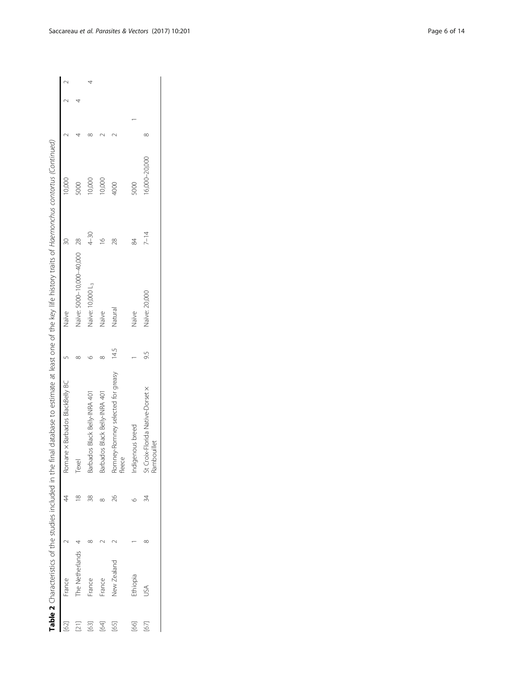|        |                   |   |         | Table 2 Characteristics of the studies included in the final database to estimate at least one of the key life history traits of Haemonchus contortus (Continued) |      |                              |               |               |           |  |
|--------|-------------------|---|---------|-------------------------------------------------------------------------------------------------------------------------------------------------------------------|------|------------------------------|---------------|---------------|-----------|--|
| 62]    | France            |   |         | Romane x Barbados BlackBelly BC                                                                                                                                   |      | Naïve                        |               | 0.000         |           |  |
| $[21]$ | The Netherlands 4 |   |         | lexel                                                                                                                                                             |      | Naïve: 5000-10.000-400       | $\frac{8}{2}$ | 5000          |           |  |
| $[63]$ | France            |   | 38      | Barbados Black Belly-INRA 401                                                                                                                                     |      | Naïve: 10,000 L <sub>3</sub> | $4 - 30$      | 0,000         |           |  |
| 64]    | France            |   |         | Barbados Black Belly-INRA 401                                                                                                                                     |      | Naïve                        |               | 10,000        |           |  |
| [65]   | New Zealand       |   | 26      | Romney-Romney selected for greasy<br>fleece                                                                                                                       | 14.5 | Natural                      | $\frac{8}{2}$ |               |           |  |
| [66]   | thiopia           |   | $\circ$ | Indigenous breed                                                                                                                                                  |      | Naïve                        | 84            | 5000          |           |  |
| 67)    | SÁ                | ∞ | 34      | St Croix-Florida Native-Dorset x<br>Rambouillet                                                                                                                   | 5.6  | Naïve: 20,000                | $7 - 14$      | 16,000-20,000 | $\propto$ |  |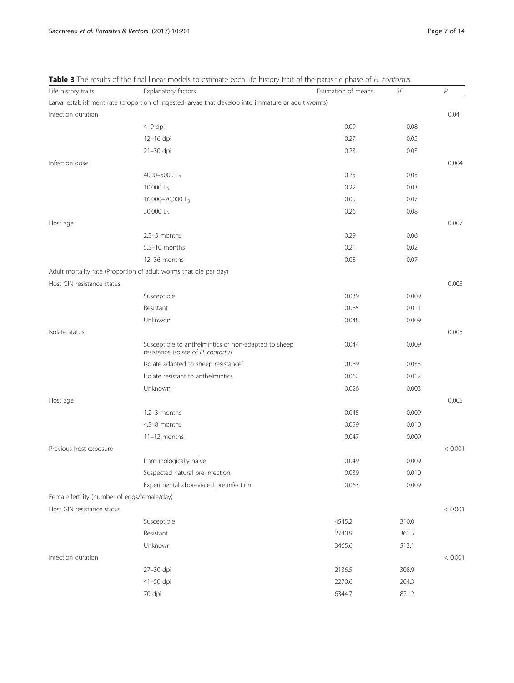| Life history traits                          | Explanatory factors                                                                                 | Estimation of means | SE    | $\overline{P}$ |
|----------------------------------------------|-----------------------------------------------------------------------------------------------------|---------------------|-------|----------------|
|                                              | Larval establishment rate (proportion of ingested larvae that develop into immature or adult worms) |                     |       |                |
| Infection duration                           |                                                                                                     |                     |       | 0.04           |
|                                              | 4-9 dpi                                                                                             | 0.09                | 0.08  |                |
|                                              | 12-16 dpi                                                                                           | 0.27                | 0.05  |                |
|                                              | 21-30 dpi                                                                                           | 0.23                | 0.03  |                |
| Infection dose                               |                                                                                                     |                     |       | 0.004          |
|                                              | 4000-5000 L <sub>3</sub>                                                                            | 0.25                | 0.05  |                |
|                                              | 10,000 $L_3$                                                                                        | 0.22                | 0.03  |                |
|                                              | 16,000-20,000 L <sub>3</sub>                                                                        | 0.05                | 0.07  |                |
|                                              | 30,000 L <sub>3</sub>                                                                               | 0.26                | 0.08  |                |
| Host age                                     |                                                                                                     |                     |       | 0.007          |
|                                              | 2.5-5 months                                                                                        | 0.29                | 0.06  |                |
|                                              | 5.5-10 months                                                                                       | 0.21                | 0.02  |                |
|                                              | 12-36 months                                                                                        | 0.08                | 0.07  |                |
|                                              | Adult mortality rate (Proportion of adult worms that die per day)                                   |                     |       |                |
| Host GIN resistance status                   |                                                                                                     |                     |       | 0.003          |
|                                              | Susceptible                                                                                         | 0.039               | 0.009 |                |
|                                              | Resistant                                                                                           | 0.065               | 0.011 |                |
|                                              | Unknwon                                                                                             | 0.048               | 0.009 |                |
| Isolate status                               |                                                                                                     |                     |       | 0.005          |
|                                              | Susceptible to anthelmintics or non-adapted to sheep<br>resistance isolate of H. contortus          | 0.044               | 0.009 |                |
|                                              | Isolate adapted to sheep resistance <sup>a</sup>                                                    | 0.069               | 0.033 |                |
|                                              | Isolate resistant to anthelmintics                                                                  | 0.062               | 0.012 |                |
|                                              | Unknown                                                                                             | 0.026               | 0.003 |                |
| Host age                                     |                                                                                                     |                     |       | 0.005          |
|                                              | 1.2-3 months                                                                                        | 0.045               | 0.009 |                |
|                                              | 4.5-8 months                                                                                        | 0.059               | 0.010 |                |
|                                              | $11-12$ months                                                                                      | 0.047               | 0.009 |                |
| Previous host exposure                       |                                                                                                     |                     |       | < 0.001        |
|                                              | Immunologically naive                                                                               | 0.049               | 0.009 |                |
|                                              | Suspected natural pre-infection                                                                     | 0.039               | 0.010 |                |
|                                              | Experimental abbreviated pre-infection                                                              | 0.063               | 0.009 |                |
| Female fertility (number of eggs/female/day) |                                                                                                     |                     |       |                |
| Host GIN resistance status                   |                                                                                                     |                     |       | < 0.001        |
|                                              | Susceptible                                                                                         | 4545.2              | 310.0 |                |
|                                              | Resistant                                                                                           | 2740.9              | 361.5 |                |
|                                              | Unknown                                                                                             | 3465.6              | 513.1 |                |
| Infection duration                           |                                                                                                     |                     |       | < 0.001        |
|                                              | 27-30 dpi                                                                                           | 2136.5              | 308.9 |                |
|                                              | 41-50 dpi                                                                                           | 2270.6              | 204.3 |                |
|                                              | 70 dpi                                                                                              | 6344.7              | 821.2 |                |
|                                              |                                                                                                     |                     |       |                |

<span id="page-6-0"></span>Table 3 The results of the final linear models to estimate each life history trait of the parasitic phase of H. contortus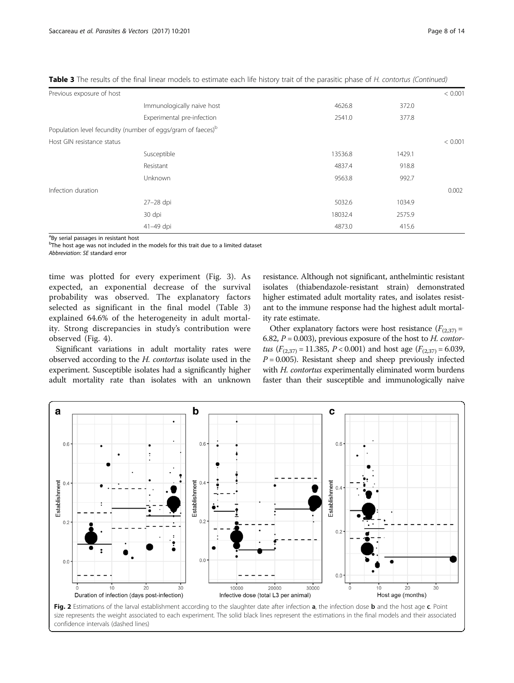<span id="page-7-0"></span>

|  |  | <b>Table 3</b> The results of the final linear models to estimate each life history trait of the parasitic phase of H. contortus (Continued) |  |  |  |  |  |  |  |  |
|--|--|----------------------------------------------------------------------------------------------------------------------------------------------|--|--|--|--|--|--|--|--|
|--|--|----------------------------------------------------------------------------------------------------------------------------------------------|--|--|--|--|--|--|--|--|

| Previous exposure of host                                               |                            |         |        | < 0.001 |
|-------------------------------------------------------------------------|----------------------------|---------|--------|---------|
|                                                                         | Immunologically naive host | 4626.8  | 372.0  |         |
|                                                                         | Experimental pre-infection | 2541.0  | 377.8  |         |
| Population level fecundity (number of eggs/gram of faeces) <sup>b</sup> |                            |         |        |         |
| Host GIN resistance status                                              |                            |         |        | < 0.001 |
|                                                                         | Susceptible                | 13536.8 | 1429.1 |         |
|                                                                         | Resistant                  | 4837.4  | 918.8  |         |
|                                                                         | <b>Unknown</b>             | 9563.8  | 992.7  |         |
| Infection duration                                                      |                            |         |        | 0.002   |
|                                                                         | 27-28 dpi                  | 5032.6  | 1034.9 |         |
|                                                                         | 30 dpi                     | 18032.4 | 2575.9 |         |
|                                                                         | 41-49 dpi                  | 4873.0  | 415.6  |         |

<sup>a</sup>By serial passages in resistant host

<sup>b</sup>The host age was not included in the models for this trait due to a limited dataset

Abbreviation: SE standard error

time was plotted for every experiment (Fig. [3\)](#page-8-0). As expected, an exponential decrease of the survival probability was observed. The explanatory factors selected as significant in the final model (Table [3](#page-6-0)) explained 64.6% of the heterogeneity in adult mortality. Strong discrepancies in study's contribution were observed (Fig. [4\)](#page-8-0).

Significant variations in adult mortality rates were observed according to the H. contortus isolate used in the experiment. Susceptible isolates had a significantly higher adult mortality rate than isolates with an unknown

resistance. Although not significant, anthelmintic resistant isolates (thiabendazole-resistant strain) demonstrated higher estimated adult mortality rates, and isolates resistant to the immune response had the highest adult mortality rate estimate.

Other explanatory factors were host resistance  $(F_{(2,37)} =$ 6.82,  $P = 0.003$ ), previous exposure of the host to *H. contor*tus ( $F_{(2,37)}$  = 11.385,  $P < 0.001$ ) and host age ( $F_{(2,37)}$  = 6.039,  $P = 0.005$ ). Resistant sheep and sheep previously infected with H. contortus experimentally eliminated worm burdens faster than their susceptible and immunologically naive



size represents the weight associated to each experiment. The solid black lines represent the estimations in the final models and their associated confidence intervals (dashed lines)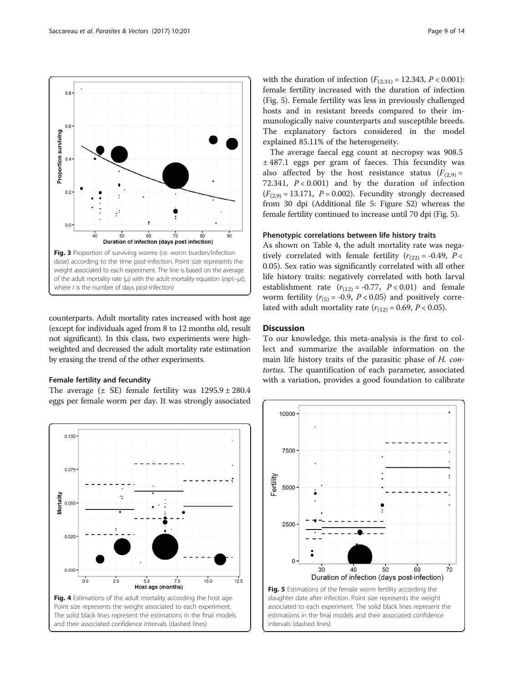<span id="page-8-0"></span>

counterparts. Adult mortality rates increased with host age (except for individuals aged from 8 to 12 months old, result not significant). In this class, two experiments were highweighted and decreased the adult mortality rate estimation by erasing the trend of the other experiments.

## Female fertility and fecundity

The average  $(\pm$  SE) female fertility was  $1295.9 \pm 280.4$ eggs per female worm per day. It was strongly associated



with the duration of infection  $(F_{(2,31)} = 12.343, P < 0.001)$ : female fertility increased with the duration of infection (Fig. 5). Female fertility was less in previously challenged hosts and in resistant breeds compared to their immunologically naive counterparts and susceptible breeds. The explanatory factors considered in the model explained 85.11% of the heterogeneity.

The average faecal egg count at necropsy was 908.5 ± 487.1 eggs per gram of faeces. This fecundity was also affected by the host resistance status  $(F_{(2,9)} =$ 72.341,  $P < 0.001$ ) and by the duration of infection  $(F<sub>(2,9)</sub> = 13.171, P = 0.002)$ . Fecundity strongly decreased from 30 dpi (Additional file [5:](#page-10-0) Figure S2) whereas the female fertility continued to increase until 70 dpi (Fig. 5).

## Phenotypic correlations between life history traits

As shown on Table [4,](#page-9-0) the adult mortality rate was negatively correlated with female fertility ( $r_{(22)} = -0.49$ ,  $P <$ 0.05). Sex ratio was significantly correlated with all other life history traits: negatively correlated with both larval establishment rate  $(r_{(12)} = -0.77, P < 0.01)$  and female worm fertility  $(r_{(5)} = -0.9, P < 0.05)$  and positively correlated with adult mortality rate  $(r_{(12)} = 0.69, P < 0.05)$ .

## **Discussion**

intervals (dashed lines)

To our knowledge, this meta-analysis is the first to collect and summarize the available information on the main life history traits of the parasitic phase of H. contortus. The quantification of each parameter, associated with a variation, provides a good foundation to calibrate

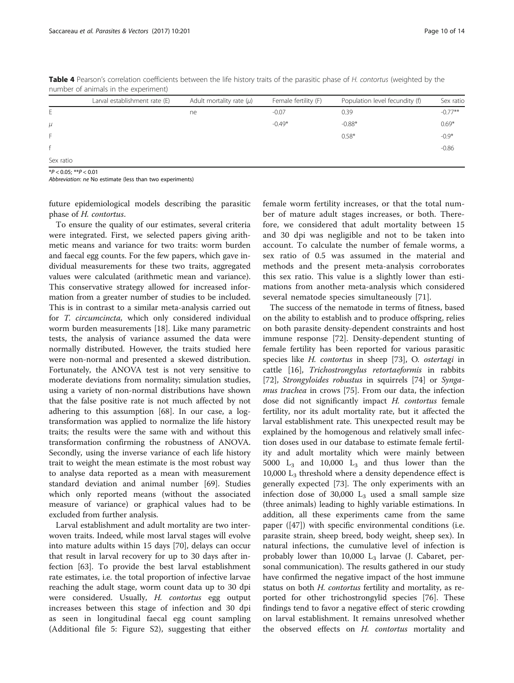|           | .                             |                              |                      |                                |           |
|-----------|-------------------------------|------------------------------|----------------------|--------------------------------|-----------|
|           | Larval establishment rate (E) | Adult mortality rate $(\mu)$ | Female fertility (F) | Population level fecundity (f) | Sex ratio |
| Ε         |                               | ne                           | $-0.07$              | 0.39                           | $-0.77**$ |
| $\mu$     |                               |                              | $-0.49*$             | $-0.88*$                       | $0.69*$   |
|           |                               |                              |                      | $0.58*$                        | $-0.9*$   |
|           |                               |                              |                      |                                | $-0.86$   |
| Sex ratio |                               |                              |                      |                                |           |

<span id="page-9-0"></span>Table 4 Pearson's correlation coefficients between the life history traits of the parasitic phase of H. contortus (weighted by the number of animals in the experiment)

 $*P < 0.05$ ; \*\* $P < 0.01$ 

Abbreviation: ne No estimate (less than two experiments)

future epidemiological models describing the parasitic phase of H. contortus.

To ensure the quality of our estimates, several criteria were integrated. First, we selected papers giving arithmetic means and variance for two traits: worm burden and faecal egg counts. For the few papers, which gave individual measurements for these two traits, aggregated values were calculated (arithmetic mean and variance). This conservative strategy allowed for increased information from a greater number of studies to be included. This is in contrast to a similar meta-analysis carried out for *T. circumcincta*, which only considered individual worm burden measurements [[18\]](#page-11-0). Like many parametric tests, the analysis of variance assumed the data were normally distributed. However, the traits studied here were non-normal and presented a skewed distribution. Fortunately, the ANOVA test is not very sensitive to moderate deviations from normality; simulation studies, using a variety of non-normal distributions have shown that the false positive rate is not much affected by not adhering to this assumption [[68\]](#page-12-0). In our case, a logtransformation was applied to normalize the life history traits; the results were the same with and without this transformation confirming the robustness of ANOVA. Secondly, using the inverse variance of each life history trait to weight the mean estimate is the most robust way to analyse data reported as a mean with measurement standard deviation and animal number [[69](#page-12-0)]. Studies which only reported means (without the associated measure of variance) or graphical values had to be excluded from further analysis.

Larval establishment and adult mortality are two interwoven traits. Indeed, while most larval stages will evolve into mature adults within 15 days [\[70](#page-12-0)], delays can occur that result in larval recovery for up to 30 days after infection [\[63\]](#page-12-0). To provide the best larval establishment rate estimates, i.e. the total proportion of infective larvae reaching the adult stage, worm count data up to 30 dpi were considered. Usually, H. contortus egg output increases between this stage of infection and 30 dpi as seen in longitudinal faecal egg count sampling (Additional file [5](#page-10-0): Figure S2), suggesting that either female worm fertility increases, or that the total number of mature adult stages increases, or both. Therefore, we considered that adult mortality between 15 and 30 dpi was negligible and not to be taken into account. To calculate the number of female worms, a sex ratio of 0.5 was assumed in the material and methods and the present meta-analysis corroborates this sex ratio. This value is a slightly lower than estimations from another meta-analysis which considered several nematode species simultaneously [[71\]](#page-12-0).

The success of the nematode in terms of fitness, based on the ability to establish and to produce offspring, relies on both parasite density-dependent constraints and host immune response [\[72](#page-12-0)]. Density-dependent stunting of female fertility has been reported for various parasitic species like H. contortus in sheep [[73\]](#page-12-0), O. ostertagi in cattle [[16\]](#page-11-0), Trichostrongylus retortaeformis in rabbits [[72\]](#page-12-0), Strongyloides robustus in squirrels [\[74](#page-12-0)] or Syngamus trachea in crows [\[75](#page-12-0)]. From our data, the infection dose did not significantly impact H. contortus female fertility, nor its adult mortality rate, but it affected the larval establishment rate. This unexpected result may be explained by the homogenous and relatively small infection doses used in our database to estimate female fertility and adult mortality which were mainly between 5000  $L_3$  and 10,000  $L_3$  and thus lower than the 10,000  $L_3$  threshold where a density dependence effect is generally expected [\[73](#page-12-0)]. The only experiments with an infection dose of 30,000  $L_3$  used a small sample size (three animals) leading to highly variable estimations. In addition, all these experiments came from the same paper ([[47\]](#page-12-0)) with specific environmental conditions (i.e. parasite strain, sheep breed, body weight, sheep sex). In natural infections, the cumulative level of infection is probably lower than 10,000  $L_3$  larvae (J. Cabaret, personal communication). The results gathered in our study have confirmed the negative impact of the host immune status on both H. contortus fertility and mortality, as reported for other trichostrongylid species [[76\]](#page-12-0). These findings tend to favor a negative effect of steric crowding on larval establishment. It remains unresolved whether the observed effects on H. contortus mortality and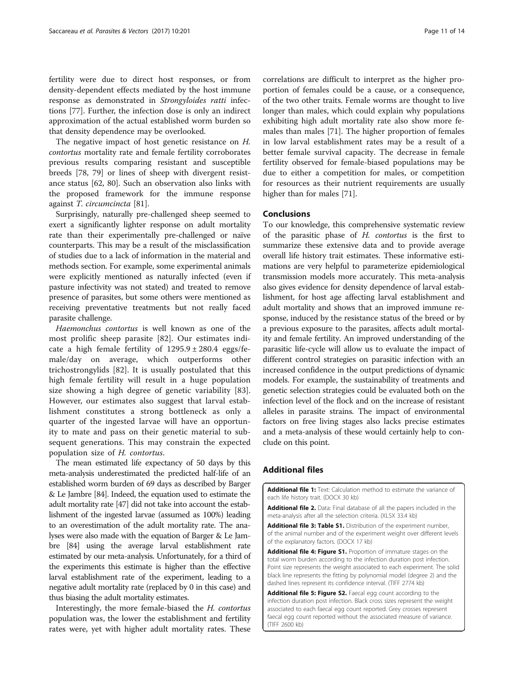<span id="page-10-0"></span>fertility were due to direct host responses, or from density-dependent effects mediated by the host immune response as demonstrated in Strongyloides ratti infections [\[77](#page-13-0)]. Further, the infection dose is only an indirect approximation of the actual established worm burden so that density dependence may be overlooked.

The negative impact of host genetic resistance on H. contortus mortality rate and female fertility corroborates previous results comparing resistant and susceptible breeds [[78, 79](#page-13-0)] or lines of sheep with divergent resistance status [[62,](#page-12-0) [80](#page-13-0)]. Such an observation also links with the proposed framework for the immune response against T. circumcincta [[81\]](#page-13-0).

Surprisingly, naturally pre-challenged sheep seemed to exert a significantly lighter response on adult mortality rate than their experimentally pre-challenged or naïve counterparts. This may be a result of the misclassification of studies due to a lack of information in the material and methods section. For example, some experimental animals were explicitly mentioned as naturally infected (even if pasture infectivity was not stated) and treated to remove presence of parasites, but some others were mentioned as receiving preventative treatments but not really faced parasite challenge.

Haemonchus contortus is well known as one of the most prolific sheep parasite [\[82](#page-13-0)]. Our estimates indicate a high female fertility of  $1295.9 \pm 280.4$  eggs/female/day on average, which outperforms other trichostrongylids [[82](#page-13-0)]. It is usually postulated that this high female fertility will result in a huge population size showing a high degree of genetic variability [[83](#page-13-0)]. However, our estimates also suggest that larval establishment constitutes a strong bottleneck as only a quarter of the ingested larvae will have an opportunity to mate and pass on their genetic material to subsequent generations. This may constrain the expected population size of H. contortus.

The mean estimated life expectancy of 50 days by this meta-analysis underestimated the predicted half-life of an established worm burden of 69 days as described by Barger & Le Jambre [[84](#page-13-0)]. Indeed, the equation used to estimate the adult mortality rate [\[47](#page-12-0)] did not take into account the establishment of the ingested larvae (assumed as 100%) leading to an overestimation of the adult mortality rate. The analyses were also made with the equation of Barger & Le Jambre [\[84](#page-13-0)] using the average larval establishment rate estimated by our meta-analysis. Unfortunately, for a third of the experiments this estimate is higher than the effective larval establishment rate of the experiment, leading to a negative adult mortality rate (replaced by 0 in this case) and thus biasing the adult mortality estimates.

Interestingly, the more female-biased the H. contortus population was, the lower the establishment and fertility rates were, yet with higher adult mortality rates. These

correlations are difficult to interpret as the higher proportion of females could be a cause, or a consequence, of the two other traits. Female worms are thought to live longer than males, which could explain why populations exhibiting high adult mortality rate also show more females than males [\[71](#page-12-0)]. The higher proportion of females in low larval establishment rates may be a result of a better female survival capacity. The decrease in female fertility observed for female-biased populations may be due to either a competition for males, or competition for resources as their nutrient requirements are usually higher than for males [[71\]](#page-12-0).

## Conclusions

To our knowledge, this comprehensive systematic review of the parasitic phase of H. contortus is the first to summarize these extensive data and to provide average overall life history trait estimates. These informative estimations are very helpful to parameterize epidemiological transmission models more accurately. This meta-analysis also gives evidence for density dependence of larval establishment, for host age affecting larval establishment and adult mortality and shows that an improved immune response, induced by the resistance status of the breed or by a previous exposure to the parasites, affects adult mortality and female fertility. An improved understanding of the parasitic life-cycle will allow us to evaluate the impact of different control strategies on parasitic infection with an increased confidence in the output predictions of dynamic models. For example, the sustainability of treatments and genetic selection strategies could be evaluated both on the infection level of the flock and on the increase of resistant alleles in parasite strains. The impact of environmental factors on free living stages also lacks precise estimates and a meta-analysis of these would certainly help to conclude on this point.

## Additional files

[Additional file 1:](dx.doi.org/10.1186/s13071-017-2131-7) Text: Calculation method to estimate the variance of each life history trait. (DOCX 30 kb)

[Additional file 2.](dx.doi.org/10.1186/s13071-017-2131-7) Data: Final database of all the papers included in the meta-analysis after all the selection criteria. (XLSX 33.4 kb)

[Additional file 3: Table S1.](dx.doi.org/10.1186/s13071-017-2131-7) Distribution of the experiment number, of the animal number and of the experiment weight over different levels of the explanatory factors. (DOCX 17 kb)

[Additional file 4: Figure S1.](dx.doi.org/10.1186/s13071-017-2131-7) Proportion of immature stages on the total worm burden according to the infection duration post infection. Point size represents the weight associated to each experiment. The solid black line represents the fitting by polynomial model (degree 2) and the dashed lines represent its confidence interval. (TIFF 2774 kb)

[Additional file 5: Figure S2.](dx.doi.org/10.1186/s13071-017-2131-7) Faecal egg count according to the infection duration post infection. Black cross sizes represent the weight associated to each faecal egg count reported. Grey crosses represent faecal egg count reported without the associated measure of variance. (TIFF 2600 kb)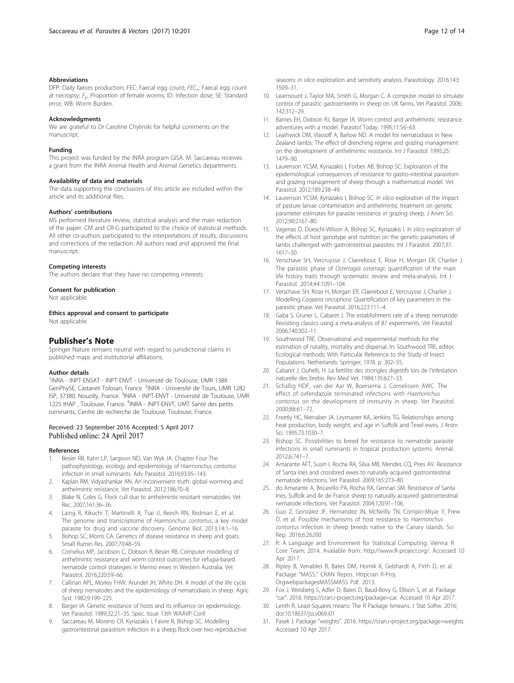#### <span id="page-11-0"></span>Abbreviations

DFP: Daily faeces production; FEC: Faecal egg count; FEC<sub>n</sub>: Faecal egg count at necropsy; F<sub>p</sub>: Proportion of female worms; ID: Infection dose; SE: Standard error; WB: Worm Burden.

#### Acknowledgments

We are grateful to Dr Caroline Chylinski for helpful comments on the manuscript.

#### Funding

This project was funded by the INRA program GISA. M. Saccareau receives a grant from the INRA Animal Health and Animal Genetics departments.

#### Availability of data and materials

The data supporting the conclusions of this article are included within the article and its additional files.

## Authors' contributions

MS performed literature review, statistical analysis and the main redaction of the paper. CM and CR-G participated to the choice of statistical methods. All other co-authors participated to the interpretations of results, discussions and corrections of the redaction. All authors read and approved the final manuscript.

#### Competing interests

The authors declare that they have no competing interests.

#### Consent for publication

Not applicable.

Ethics approval and consent to participate Not applicable

#### Publisher's Note

Springer Nature remains neutral with regard to jurisdictional claims in published maps and institutional affiliations.

#### Author details

<sup>1</sup>INRA - INPT-ENSAT - INPT-ENVT - Université de Toulouse, UMR 1388 GenPhySE, Castanet Tolosan, France. <sup>2</sup>INRA - Université de Tours, UMR 1282 ISP, 37380, Nouzilly, France. <sup>3</sup>INRA - INPT-ENVT - Université de Toulouse, UMR 1225 IHAP, Toulouse, France. <sup>4</sup>INRA - INPT-ENVT, UMT Santé des petits ruminants, Centre de recherche de Toulouse, Toulouse, France.

## Received: 23 September 2016 Accepted: 5 April 2017 Published online: 24 April 2017

#### References

- 1. Besier RB, Kahn LP, Sargison ND, Van Wyk JA. Chapter Four-The pathophysiology, ecology and epidemiology of Haemonchus contortus infection in small ruminants. Adv Parasitol. 2016;93:95–143.
- 2. Kaplan RM, Vidyashankar AN. An inconvenient truth: global worming and anthelmintic resistance. Vet Parasitol. 2012;186:70–8.
- 3. Blake N, Coles G. Flock cull due to anthelmintic-resistant nematodes. Vet Rec. 2007;161:36–36.
- 4. Laing R, Kikuchi T, Martinelli A, Tsai IJ, Beech RN, Redman E, et al. The genome and transcriptome of Haemonchus contortus, a key model parasite for drug and vaccine discovery. Genome Biol. 2013;14:1–16.
- Bishop SC, Morris CA. Genetics of disease resistance in sheep and goats. Small Rumin Res. 2007;70:48–59.
- 6. Cornelius MP, Jacobson C, Dobson R, Besier RB. Computer modelling of anthelmintic resistance and worm control outcomes for refugia-based nematode control strategies in Merino ewes in Western Australia. Vet Parasitol. 2016;220:59–66.
- 7. Callinan APL, Morley FHW, Arundel JH, White DH. A model of the life cycle of sheep nematodes and the epidemiology of nematodiasis in sheep. Agric Syst. 1982;9:199–225.
- Barger IA. Genetic resistance of hosts and its influence on epidemiology. Vet Parasitol. 1989;32:21–35. Spec. Issue 13th WAAVP Conf.
- Saccareau M, Moreno CR, Kyriazakis I, Faivre R, Bishop SC. Modelling gastrointestinal parasitism infection in a sheep flock over two reproductive
- 10. Learmount J. Taylor MA, Smith G. Morgan C. A computer model to simulate control of parasitic gastroenteritis in sheep on UK farms. Vet Parasitol. 2006; 142:312–29.
- 11. Barnes EH, Dobson RJ, Barger IA. Worm control and anthelmintic resistance: adventures with a model. Parasitol Today. 1995;11:56–63.
- 12. Leathwick DM, Vlassoff A, Barlow ND. A model for nematodiasis in New Zealand lambs: The effect of drenching regime and grazing management on the development of anthelmintic resistance. Int J Parasitol. 1995;25: 1479–90.
- 13. Laurenson YCSM, Kyriazakis I, Forbes AB, Bishop SC. Exploration of the epidemiological consequences of resistance to gastro-intestinal parasitism and grazing management of sheep through a mathematical model. Vet Parasitol. 2012;189:238–49.
- 14. Laurenson YCSM, Kyriazakis I, Bishop SC. In silico exploration of the impact of pasture larvae contamination and anthelmintic treatment on genetic parameter estimates for parasite resistance in grazing sheep. J Anim Sci. 2012;90:2167–80.
- 15. Vagenas D, Doeschl-Wilson A, Bishop SC, Kyriazakis I. In silico exploration of the effects of host genotype and nutrition on the genetic parameters of lambs challenged with gastrointestinal parasites. Int J Parasitol. 2007;37: 1617–30.
- 16. Verschave SH, Vercruysse J, Claerebout E, Rose H, Morgan ER, Charlier J. The parasitic phase of Ostertagia ostertagi: quantification of the main life history traits through systematic review and meta-analysis. Int J Parasitol. 2014;44:1091–104.
- 17. Verschave SH, Rose H, Morgan ER, Claerebout E, Vercruysse J, Charlier J. Modelling Cooperia oncophora: Quantification of key parameters in the parasitic phase. Vet Parasitol. 2016;223:111–4.
- 18. Gaba S, Gruner L, Cabaret J. The establishment rate of a sheep nematode: Revisiting classics using a meta-analysis of 87 experiments. Vet Parasitol. 2006;140:302–11.
- 19. Southwood TRE. Observational and experimental methods for the estimation of natality, mortality and dispersal. In: Southwood TRE, editor. Ecological methods: With Particular Reference to the Study of Insect Populations. Netherlands: Springer; 1978. p. 302–55.
- 20. Cabaret J, Ouhelli, H. La fertilite des strongles digestifs lors de l'infestation naturelle des brebis. Rev Med Vet. 1984;135:627–33.
- 21. Schallig HDF, van der Aar W, Boersema J, Cornelissen AWC. The effect of oxfendazole terminated infections with Haemonchus contortus on the development of immunity in sheep. Vet Parasitol. 2000;88:61–72.
- 22. Freetly HC, Nienaber JA, Leymaster KA, Jenkins TG. Relationships among heat production, body weight, and age in Suffolk and Texel ewes. J Anim Sci. 1995;73:1030–7.
- 23. Bishop SC. Possibilities to breed for resistance to nematode parasite infections in small ruminants in tropical production systems. Animal. 2012;6:741–7.
- 24. Amarante AFT, Susin I, Rocha RA, Silva MB, Mendes CQ, Pires AV. Resistance of Santa Ines and crossbred ewes to naturally acquired gastrointestinal nematode infections. Vet Parasitol. 2009;165:273–80.
- 25. do Amarante A, Bricarello PA, Rocha RA, Gennari SM. Resistance of Santa Ines, Suffolk and Ile de France sheep to naturally acquired gastrointestinal nematode infections. Vet Parasitol. 2004;120:91–106.
- 26. Guo Z, González JF, Hernandez JN, McNeilly TN, Corripio-Miyar Y, Frew D, et al. Possible mechanisms of host resistance to Haemonchus contortus infection in sheep breeds native to the Canary Islands. Sci Rep. 2016;6:26200.
- 27. R: A Language and Environment for Statistical Computing. Vienna: R Core Team; 2014. Available from: [http://www.R-project.org/](http://www.r-project.org/). Accessed 10 Apr 2017.
- 28. Ripley B, Venables B, Bates DM, Hornik K, Gebhardt A, Firth D, et al. Package "MASS." CRAN Repos. Httpcran R-Proj. OrgwebpackagesMASSMASS Pdf. 2013.
- 29. Fox J, Weisberg S, Adler D, Bates D, Baud-Bovy G, Ellison S, et al. Package "car". 2016.<https://cran.r-project.org/package=car>. Accessed 10 Apr 2017.
- 30. Lenth R. Least-Squares means: The R Package lsmeans. J Stat Softw. 2016; doi[:10.18637/jss.v069.i01](http://dx.doi.org/10.18637/jss.v069.i01)
- 31. Pasek J. Package "weights". 2016.<https://cran.r-project.org/package=weights>. Accessed 10 Apr 2017.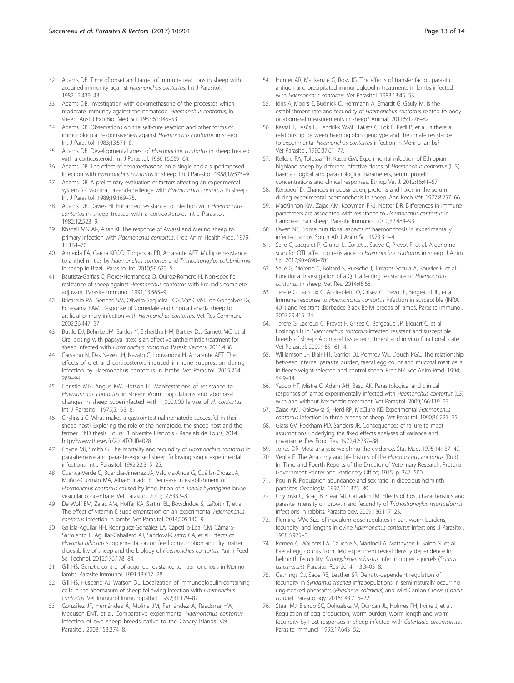- <span id="page-12-0"></span>32. Adams DB. Time of onset and target of immune reactions in sheep with acquired immunity against Haemonchus contortus. Int J Parasitol. 1982;12:439–43.
- 33. Adams DB. Investigation with dexamethasone of the processes which moderate immunity against the nematode, Haemonchus contortus, in sheep. Aust J Exp Biol Med Sci. 1983;61:345–53.
- 34. Adams DB. Observations on the self-cure reaction and other forms of immunological responsiveness against Haemonchus contortus in sheep. Int J Parasitol. 1983;13:571–8.
- 35. Adams DB. Developmental arrest of Haemonchus contortus in sheep treated with a corticosteroid. Int J Parasitol. 1986;16:659–64.
- 36. Adams DB. The effect of dexamethasone on a single and a superimposed infection with Haemonchus contortus in sheep. Int J Parasitol. 1988;18:575–9.
- 37. Adams DB. A preliminary evaluation of factors affecting an experimental system for vaccination-and-challenge with Haemonchus contortus in sheep. Int J Parasitol. 1989;19:169–75.
- 38. Adams DB, Davies HI. Enhanced resistance to infection with Haemonchus contortus in sheep treated with a corticosteroid. Int J Parasitol. 1982;12:523–9.
- 39. Khshali MN Al-, Altaif KI. The response of Awassi and Merino sheep to primary infection with Haemonchus contortus. Trop Anim Health Prod. 1979; 11:164–70.
- 40. Almeida FA, Garcia KCOD, Torgerson PR, Amarante AFT. Multiple resistance to anthelmintics by Haemonchus contortus and Trichostrongylus colubriformis in sheep in Brazil. Parasitol Int. 2010;59:622–5.
- 41. Bautista-Garfias C, Flores-Hernandez O, Quiroz-Romero H. Non-specific resistance of sheep against Haemonchus conforms with Freund's complete adjuvant. Parasite Immunol. 1991;13:565–9.
- 42. Bricarello PA, Gennari SM, Oliveira-Sequeira TCG, Vaz CMSL, de Gonçalves IG, Echevarria FAM. Response of Corriedale and Crioula Lanada sheep to artificial primary infection with Haemonchus contortus. Vet Res Commun. 2002;26:447–57.
- 43. Buttle DJ, Behnke JM, Bartley Y, Elsheikha HM, Bartley DJ, Garnett MC, et al. Oral dosing with papaya latex is an effective anthelmintic treatment for sheep infected with Haemonchus contortus. Parasit Vectors. 2011;4:36.
- 44. Carvalho N, Das Neves JH, Nazato C, Louvandini H, Amarante AFT. The effects of diet and corticosteroid-induced immune suppression during infection by Haemonchus contortus in lambs. Vet Parasitol. 2015;214: 289–94.
- 45. Christie MG, Angus KW, Hotson IK. Manifestations of resistance to Haemonchus contortus in sheep: Worm populations and abomasal changes in sheep superinfected with 1,000,000 larvae of H. contortus. Int J Parasitol. 1975;5:193–8.
- 46. Chylinski C. What makes a gastrointestinal nematode successful in their sheep host? Exploring the role of the nematode, the sheep host and the farmer. PhD thesis. Tours: l'Université François - Rabelais de Tours; 2014. <http://www.theses.fr/2014TOUR4028>.
- 47. Coyne MJ, Smith G. The mortality and fecundity of Haemonchus contortus in parasite-naive and parasite-exposed sheep following single experimental infections. Int J Parasitol. 1992;22:315–25.
- 48. Cuenca-Verde C, Buendía-Jiménez JA, Valdivia-Anda G, Cuéllar-Ordaz JA, Muñoz-Guzmán MA, Alba-Hurtado F. Decrease in establishment of Haemonchus contortus caused by inoculation of a Taenia hydatigena larvae vesicular concentrate. Vet Parasitol. 2011;177:332–8.
- 49. De Wolf BM, Zajac AM, Hoffer KA, Sartini BL, Bowdridge S, LaRoith T, et al. The effect of vitamin E supplementation on an experimental Haemonchus contortus infection in lambs. Vet Parasitol. 2014;205:140–9.
- 50. Galicia-Aguilar HH, Rodríguez-González LA, Capetillo-Leal CM, Cámara-Sarmiento R, Aguilar-Caballero AJ, Sandoval-Castro CA, et al. Effects of Havardia albicans supplementation on feed consumption and dry matter digestibility of sheep and the biology of Haemonchus contortus. Anim Feed Sci Technol. 2012;176:178–84.
- 51. Gill HS. Genetic control of acquired resistance to haemonchosis in Merino lambs. Parasite Immunol. 1991;13:617–28.
- 52. Gill HS, Husband AJ, Watson DL. Localization of immunoglobulin-containing cells in the abomasum of sheep following infection with Haemonchus contortus. Vet Immunol Immunopathol. 1992;31:179–87.
- 53. González JF, Hernández Á, Molina JM, Fernández A, Raadsma HW, Meeusen ENT, et al. Comparative experimental Haemonchus contortus infection of two sheep breeds native to the Canary Islands. Vet Parasitol. 2008;153:374–8.
- 54. Hunter AR, Mackenzie G, Ross JG. The effects of transfer factor, parasitic antigen and precipitated immunoglobulin treatments in lambs infected with Haemonchus contortus. Vet Parasitol. 1983;13:45–53.
- 55. Idris A, Moors E, Budnick C, Herrmann A, Erhardt G, Gauly M. Is the establishment rate and fecundity of Haemonchus contortus related to body or abomasal measurements in sheep? Animal. 2011;5:1276–82.
- Kassai T, Fésüs L, Hendrikx WML, Takáts C, Fok É, Redl P, et al. Is there a relationship between haemoglobin genotype and the innate resistance to experimental Haemonchus contortus infection in Merino lambs? Vet Parasitol. 1990;37:61–77.
- 57. Kelkele FA, Tolossa YH, Kassa GM. Experimental infection of Ethiopian highland sheep by different infective doses of Haemonchus contortus (L 3): haematological and parasitological parameters, serum protein concentrations and clinical responses. Ethiop Vet J. 2012;16:41–57.
- 58. Kerboeuf D. Changes in pepsinogen, proteins and lipids in the serum during experimental haemonchosis in sheep. Ann Rech Vét. 1977;8:257–66.
- 59. MacKinnon KM, Zajac AM, Kooyman FNJ, Notter DR. Differences in immune parameters are associated with resistance to Haemonchus contortus in Caribbean hair sheep. Parasite Immunol. 2010;32:484–93.
- 60. Owen NC. Some nutritional aspects of haemonchosis in experimentally infected lambs. South Afr J Anim Sci. 1973;3:1–4.
- 61. Salle G, Jacquiet P, Gruner L, Cortet J, Sauve C, Prevot F, et al. A genome scan for QTL affecting resistance to Haemonchus contortus in sheep. J Anim Sci. 2012;90:4690–705.
- Salle G, Moreno C, Boitard S, Ruesche J, Tircazes-Secula A, Bouvier F, et al. Functional investigation of a QTL affecting resistance to Haemonchus contortus in sheep. Vet Res. 2014;45:68.
- 63. Terefe G, Lacroux C, Andreoletti O, Grisez C, Prevot F, Bergeaud JP, et al. Immune response to Haemonchus contortus infection in susceptible (INRA 401) and resistant (Barbados Black Belly) breeds of lambs. Parasite Immunol. 2007;29:415–24.
- Terefe G, Lacroux C, Prévot F, Grisez C, Bergeaud JP, Bleuart C, et al. Eosinophils in Haemonchus contortus-infected resistant and susceptible breeds of sheep: Abomasal tissue recruitment and in vitro functional state. Vet Parasitol. 2009;165:161–4.
- 65. Williamson JF, Blair HT, Garrick DJ, Pomroy WE, Douch PGC. The relationship between internal parasite burden, faecal egg count and mucosal mast cells in fleeceweight-selected and control sheep. Proc NZ Soc Anim Prod. 1994; 54:9–14.
- 66. Yacob HT, Mistre C, Adem AH, Basu AK. Parasitological and clinical responses of lambs experimentally infected with Haemonchus contortus (L3) with and without ivermectin treatment. Vet Parasitol. 2009;166:119–23.
- 67. Zajac AM, Krakowka S, Herd RP, McClure KE. Experimental Haemonchus contortus infection in three breeds of sheep. Vet Parasitol. 1990;36:221–35.
- 68. Glass GV, Peckham PD, Sanders JR. Consequences of failure to meet assumptions underlying the fixed effects analyses of variance and covariance. Rev Educ Res. 1972;42:237–88.
- 69. Jones DR. Meta‐analysis: weighing the evidence. Stat Med. 1995;14:137–49.
- 70. Veglia F. The Anatomy and life history of the Haemonchus contortus (Rud). In: Third and Fourth Reports of the Director of Veterinary Research. Pretoria: Government Printer and Stationery Office; 1915. p. 347–500.
- 71. Poulin R. Population abundance and sex ratio in dioecious helminth parasites. Oecologia. 1997;111:375–80.
- 72. Chylinski C, Boag B, Stear MJ, Cattadori IM. Effects of host characteristics and parasite intensity on growth and fecundity of Trichostrongylus retortaeformis infections in rabbits. Parasitology. 2009;136:117–23.
- 73. Fleming MW. Size of inoculum dose regulates in part worm burdens, fecundity, and lengths in ovine Haemonchus contortus infections. J Parasitol. 1988;6:975–8.
- 74. Romeo C, Wauters LA, Cauchie S, Martinoli A, Matthysen E, Saino N, et al. Faecal egg counts from field experiment reveal density dependence in helminth fecundity: Strongyloides robustus infecting grey squirrels (Sciurus carolinensis). Parasitol Res. 2014;113:3403–8.
- 75. Gethings OJ, Sage RB, Leather SR. Density-dependent regulation of fecundity in Syngamus trachea infrapopulations in semi-naturally occurring ring-necked pheasants (Phasianus colchicus) and wild Carrion Crows (Corvus corone). Parasitology. 2016;143:716–22.
- 76. Stear MJ, Bishop SC, Doligalska M, Duncan JL, Holmes PH, Irvine J, et al. Regulation of egg production, worm burden, worm length and worm fecundity by host responses in sheep infected with Ostertagia circumcincta. Parasite Immunol. 1995;17:643–52.